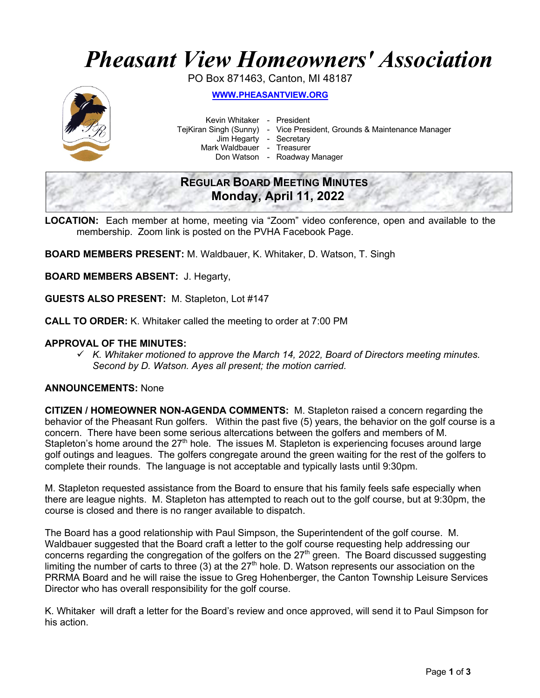# *Pheasant View Homeowners' Association*

PO Box 871463, Canton, MI 48187



**WWW.PHEASANTVIEW.ORG**

Kevin Whitaker - President

TejKiran Singh (Sunny) - Vice President, Grounds & Maintenance Manager

Jim Hegarty - Secretary

Mark Waldbauer - Treasurer

Don Watson - Roadway Manager

# **REGULAR BOARD MEETING MINUTES Monday, April 11, 2022**

**LOCATION:** Each member at home, meeting via "Zoom" video conference, open and available to the membership. Zoom link is posted on the PVHA Facebook Page.

**BOARD MEMBERS PRESENT:** M. Waldbauer, K. Whitaker, D. Watson, T. Singh

**BOARD MEMBERS ABSENT:** J. Hegarty,

**GUESTS ALSO PRESENT:** M. Stapleton, Lot #147

**CALL TO ORDER:** K. Whitaker called the meeting to order at 7:00 PM

## **APPROVAL OF THE MINUTES:**

ü *K. Whitaker motioned to approve the March 14, 2022, Board of Directors meeting minutes. Second by D. Watson. Ayes all present; the motion carried.*

## **ANNOUNCEMENTS:** None

**CITIZEN / HOMEOWNER NON-AGENDA COMMENTS:** M. Stapleton raised a concern regarding the behavior of the Pheasant Run golfers. Within the past five (5) years, the behavior on the golf course is a concern. There have been some serious altercations between the golfers and members of M. Stapleton's home around the 27<sup>th</sup> hole. The issues M. Stapleton is experiencing focuses around large golf outings and leagues. The golfers congregate around the green waiting for the rest of the golfers to complete their rounds. The language is not acceptable and typically lasts until 9:30pm.

M. Stapleton requested assistance from the Board to ensure that his family feels safe especially when there are league nights. M. Stapleton has attempted to reach out to the golf course, but at 9:30pm, the course is closed and there is no ranger available to dispatch.

The Board has a good relationship with Paul Simpson, the Superintendent of the golf course. M. Waldbauer suggested that the Board craft a letter to the golf course requesting help addressing our concerns regarding the congregation of the golfers on the 27<sup>th</sup> green. The Board discussed suggesting limiting the number of carts to three (3) at the  $27<sup>th</sup>$  hole. D. Watson represents our association on the PRRMA Board and he will raise the issue to Greg Hohenberger, the Canton Township Leisure Services Director who has overall responsibility for the golf course.

K. Whitaker will draft a letter for the Board's review and once approved, will send it to Paul Simpson for his action.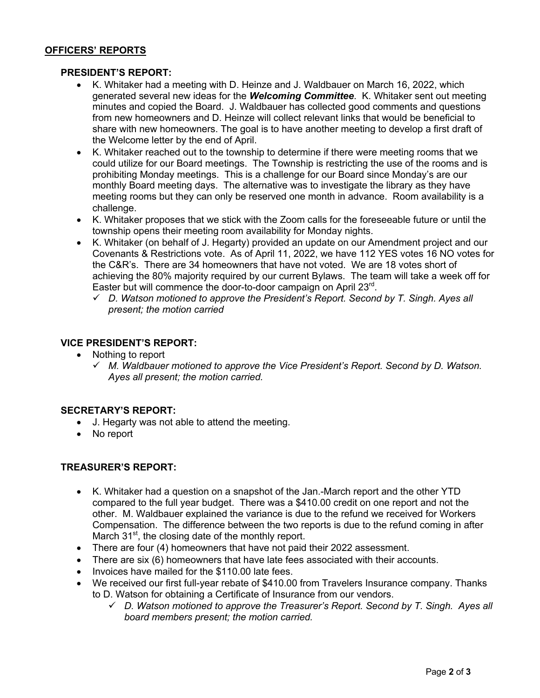# **OFFICERS' REPORTS**

#### **PRESIDENT'S REPORT:**

- K. Whitaker had a meeting with D. Heinze and J. Waldbauer on March 16, 2022, which generated several new ideas for the *Welcoming Committee*. K. Whitaker sent out meeting minutes and copied the Board. J. Waldbauer has collected good comments and questions from new homeowners and D. Heinze will collect relevant links that would be beneficial to share with new homeowners. The goal is to have another meeting to develop a first draft of the Welcome letter by the end of April.
- K. Whitaker reached out to the township to determine if there were meeting rooms that we could utilize for our Board meetings. The Township is restricting the use of the rooms and is prohibiting Monday meetings. This is a challenge for our Board since Monday's are our monthly Board meeting days. The alternative was to investigate the library as they have meeting rooms but they can only be reserved one month in advance. Room availability is a challenge.
- K. Whitaker proposes that we stick with the Zoom calls for the foreseeable future or until the township opens their meeting room availability for Monday nights.
- K. Whitaker (on behalf of J. Hegarty) provided an update on our Amendment project and our Covenants & Restrictions vote. As of April 11, 2022, we have 112 YES votes 16 NO votes for the C&R's. There are 34 homeowners that have not voted. We are 18 votes short of achieving the 80% majority required by our current Bylaws. The team will take a week off for Easter but will commence the door-to-door campaign on April 23rd.
	- ü *D. Watson motioned to approve the President's Report. Second by T. Singh. Ayes all present; the motion carried*

#### **VICE PRESIDENT'S REPORT:**

- Nothing to report
	- ü *M. Waldbauer motioned to approve the Vice President's Report. Second by D. Watson. Ayes all present; the motion carried.*

#### **SECRETARY'S REPORT:**

- J. Hegarty was not able to attend the meeting.
- No report

#### **TREASURER'S REPORT:**

- K. Whitaker had a question on a snapshot of the Jan.-March report and the other YTD compared to the full year budget. There was a \$410.00 credit on one report and not the other. M. Waldbauer explained the variance is due to the refund we received for Workers Compensation. The difference between the two reports is due to the refund coming in after March  $31<sup>st</sup>$ , the closing date of the monthly report.
- There are four (4) homeowners that have not paid their 2022 assessment.
- There are six (6) homeowners that have late fees associated with their accounts.
- Invoices have mailed for the \$110.00 late fees.
- We received our first full-year rebate of \$410.00 from Travelers Insurance company. Thanks to D. Watson for obtaining a Certificate of Insurance from our vendors.
	- ü *D. Watson motioned to approve the Treasurer's Report. Second by T. Singh. Ayes all board members present; the motion carried.*